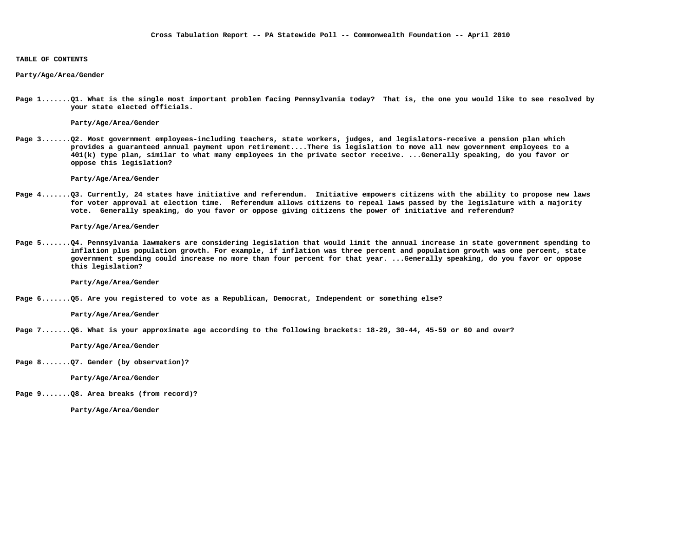#### **TABLE OF CONTENTS**

#### **Party/Age/Area/Gender**

**Page 1.......Q1. What is the single most important problem facing Pennsylvania today? That is, the one you would like to see resolved by your state elected officials.** 

 **Party/Age/Area/Gender** 

**Page 3.......Q2. Most government employees-including teachers, state workers, judges, and legislators-receive a pension plan which provides a guaranteed annual payment upon retirement....There is legislation to move all new government employees to a 401(k) type plan, similar to what many employees in the private sector receive. ...Generally speaking, do you favor or oppose this legislation?** 

 **Party/Age/Area/Gender** 

**Page 4.......Q3. Currently, 24 states have initiative and referendum. Initiative empowers citizens with the ability to propose new laws for voter approval at election time. Referendum allows citizens to repeal laws passed by the legislature with a majority vote. Generally speaking, do you favor or oppose giving citizens the power of initiative and referendum?**

 **Party/Age/Area/Gender** 

**Page 5.......Q4. Pennsylvania lawmakers are considering legislation that would limit the annual increase in state government spending to inflation plus population growth. For example, if inflation was three percent and population growth was one percent, state government spending could increase no more than four percent for that year. ...Generally speaking, do you favor or oppose this legislation?** 

 **Party/Age/Area/Gender** 

**Page 6.......Q5. Are you registered to vote as a Republican, Democrat, Independent or something else?**

 **Party/Age/Area/Gender** 

**Page 7.......Q6. What is your approximate age according to the following brackets: 18-29, 30-44, 45-59 or 60 and over?**

 **Party/Age/Area/Gender** 

**Page 8.......Q7. Gender (by observation)?**

 **Party/Age/Area/Gender** 

**Page 9.......Q8. Area breaks (from record)?**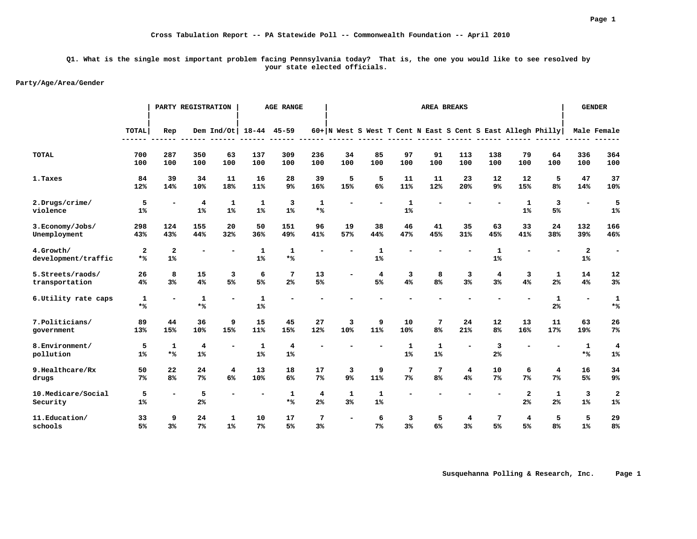#### **Q1. What is the single most important problem facing Pennsylvania today? That is, the one you would like to see resolved by your state elected officials.**

#### **Party/Age/Area/Gender**

|                      |                |                         | PARTY REGISTRATION |                          |                | <b>AGE RANGE</b>        |                |              |                |                | <b>AREA BREAKS</b> |                |                         |                |                                                               |                          | <b>GENDER</b>           |
|----------------------|----------------|-------------------------|--------------------|--------------------------|----------------|-------------------------|----------------|--------------|----------------|----------------|--------------------|----------------|-------------------------|----------------|---------------------------------------------------------------|--------------------------|-------------------------|
|                      | <b>TOTAL</b>   | Rep                     |                    | Dem $Ind/Ot$             | $18 - 44$      | $45 - 59$               |                |              |                |                | ------             |                | -------                 |                | $60+ N$ West S West T Cent N East S Cent S East Allegh Philly |                          | Male Female             |
| <b>TOTAL</b>         | 700            | 287                     | 350                | 63                       | 137            | 309                     | 236            | 34           | 85             | 97             | 91                 | 113            | 138                     | 79             | 64                                                            | 336                      | 364                     |
|                      | 100            | 100                     | 100                | 100                      | 100            | 100                     | 100            | 100          | 100            | 100            | 100                | 100            | 100                     | 100            | 100                                                           | 100                      | 100                     |
| 1. Taxes             | 84             | 39                      | 34                 | 11                       | 16             | 28                      | 39             | 5            | 5              | 11             | 11                 | 23             | 12                      | 12             | 5                                                             | 47                       | 37                      |
|                      | 12%            | 14%                     | 10%                | 18%                      | 11%            | 9%                      | 16%            | 15%          | 6%             | 11%            | 12%                | 20%            | 9%                      | 15%            | 8 <sup>°</sup>                                                | 14%                      | 10%                     |
| 2.Drugs/crime/       | 5              | $\overline{a}$          | 4                  | $\mathbf{1}$             | $\mathbf{1}$   | 3                       | $\mathbf{1}$   |              |                | $\mathbf{1}$   |                    |                |                         | $\mathbf{1}$   | 3                                                             | $\overline{\phantom{a}}$ | 5                       |
| violence             | 1%             |                         | 1%                 | 1%                       | 1%             | 1%                      | $*$ %          |              |                | 1%             |                    |                |                         | 1%             | 5%                                                            |                          | 1 <sup>°</sup>          |
| 3. Economy/Jobs/     | 298            | 124                     | 155                | 20                       | 50             | 151                     | 96             | 19           | 38             | 46             | 41                 | 35             | 63                      | 33             | 24                                                            | 132                      | 166                     |
| Unemployment         | 43%            | 43%                     | 44%                | 32%                      | 36%            | 49%                     | 41%            | 57%          | 44%            | 47%            | 45%                | 31%            | 45%                     | 41%            | 38%                                                           | 39%                      | 46%                     |
| 4.Growth/            | $\overline{a}$ | $\overline{\mathbf{2}}$ | $\blacksquare$     |                          | $\mathbf{1}$   | $\mathbf{1}$            |                |              | $\mathbf{1}$   |                |                    |                | $\mathbf{1}$            |                |                                                               | $\mathbf{2}$             | ۰                       |
| development/traffic  | $*$ %          | 1%                      |                    |                          | 1%             | $*$ %                   |                |              | 1%             |                |                    |                | 1%                      |                |                                                               | 1%                       |                         |
| 5.Streets/raods/     | 26             | 8                       | 15                 | 3                        | 6              | 7                       | 13             |              | 4              | 3              | 8                  | 3              | 4                       | 3              | $\mathbf{1}$                                                  | 14                       | 12                      |
| transportation       | 4%             | 3 <sup>8</sup>          | 4%                 | 5%                       | 5%             | 2 <sup>°</sup>          | 5%             |              | 5%             | 4%             | 8 <sup>°</sup>     | 3 <sup>8</sup> | 3 <sup>8</sup>          | 4%             | 2 <sup>°</sup>                                                | 4%                       | 3 <sup>°</sup>          |
| 6. Utility rate caps | $\mathbf{1}$   |                         | $\mathbf{1}$       | $\overline{\phantom{a}}$ | $\mathbf{1}$   |                         |                |              |                |                |                    |                |                         |                | $\mathbf{1}$                                                  | $\overline{\phantom{a}}$ | 1                       |
|                      | $*$ %          |                         | $*$ %              |                          | 1%             |                         |                |              |                |                |                    |                |                         |                | 2 <sup>°</sup>                                                |                          | $*$ %                   |
| 7. Politicians/      | 89             | 44                      | 36                 | 9                        | 15             | 45                      | 27             | 3            | 9              | 10             | 7                  | 24             | 12                      | 13             | 11                                                            | 63                       | 26                      |
| government           | 13%            | 15%                     | 10%                | 15%                      | 11%            | 15%                     | 12%            | 10%          | 11%            | 10%            | 8 <sup>°</sup>     | 21%            | 8 <sup>°</sup>          | 16%            | 17%                                                           | 19%                      | 7%                      |
| 8. Environment/      | 5              | $\mathbf{1}$            | $\overline{4}$     |                          | $\mathbf{1}$   | $\overline{\mathbf{4}}$ |                |              |                | $\mathbf{1}$   | $\mathbf{1}$       |                | $\overline{\mathbf{3}}$ |                |                                                               | $\mathbf{1}$             | $\overline{\mathbf{4}}$ |
| pollution            | 1%             | $*$ %                   | 1%                 |                          | 1%             | 1%                      |                |              |                | 1%             | 1%                 |                | 2 <sup>°</sup>          |                |                                                               | $*$ %                    | 1%                      |
| 9. Healthcare/Rx     | 50             | 22                      | 24                 | $\overline{\mathbf{4}}$  | 13             | 18                      | 17             | 3            | 9              | 7              | 7                  | 4              | 10                      | 6              | 4                                                             | 16                       | 34                      |
| drugs                | 7%             | 8 <sup>°</sup>          | 7%                 | 6%                       | 10%            | 6%                      | 7 <sup>°</sup> | $9\%$        | 11%            | 7 <sup>°</sup> | 8 <sup>°</sup>     | 4%             | 7 <sup>°</sup>          | 7 <sup>°</sup> | 7 <sup>°</sup>                                                | 5%                       | 9 <sup>°</sup>          |
| 10.Medicare/Social   | 5              |                         | 5                  |                          |                | 1                       | $\overline{4}$ | $\mathbf{1}$ | 1              |                |                    |                |                         | $\mathbf{2}$   | $\mathbf{1}$                                                  | 3                        | $\overline{\mathbf{2}}$ |
| Security             | 1%             |                         | 2%                 |                          |                | $*$ %                   | 2 <sup>°</sup> | 3%           | 1%             |                |                    |                |                         | 2 <sup>°</sup> | 2 <sup>°</sup>                                                | 1%                       | 1%                      |
| 11.Education/        | 33             | 9                       | 24                 | 1                        | 10             | 17                      | 7              | ۰            | 6              | 3              | 5                  | 4              | 7                       | 4              | 5                                                             | 5                        | 29                      |
| schools              | 5%             | 3 <sup>8</sup>          | 7 <sup>°</sup>     | 1%                       | 7 <sup>°</sup> | 5%                      | 3 <sup>°</sup> |              | 7 <sup>8</sup> | 3%             | 6 <sup>°</sup>     | 3 <sup>8</sup> | 5%                      | 5%             | 8 <sup>°</sup>                                                | 1%                       | 8 <sup>°</sup>          |

 **Susquehanna Polling & Research, Inc. Page 1**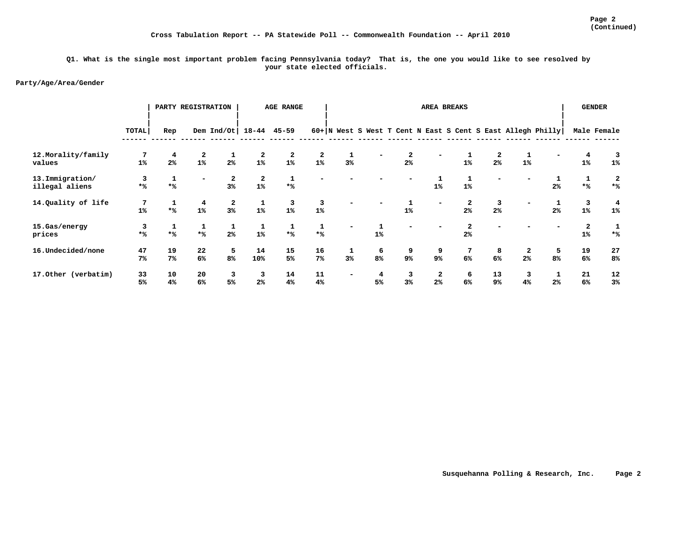#### **Q1. What is the single most important problem facing Pennsylvania today? That is, the one you would like to see resolved by your state elected officials.**

|                     |                 |                | PARTY REGISTRATION |                    |                 | <b>AGE RANGE</b> |       |    |                |                | AREA BREAKS              |                |                |                |                                                             |                  | <b>GENDER</b>  |
|---------------------|-----------------|----------------|--------------------|--------------------|-----------------|------------------|-------|----|----------------|----------------|--------------------------|----------------|----------------|----------------|-------------------------------------------------------------|------------------|----------------|
|                     | TOTAL           | Rep            |                    | Dem Ind/Ot $18-44$ |                 | 45-59            |       |    |                |                |                          |                |                |                | 60+ N West S West T Cent N East S Cent S East Allegh Philly |                  | Male Female    |
| 12. Morality/family | $7\phantom{.0}$ | 4              | 2                  |                    | 2               | 2                | 2     | 1  |                | $\overline{2}$ |                          |                | 2              | 1              |                                                             | 4                |                |
| values              | 1 <sup>°</sup>  | 2 <sup>°</sup> | 1%                 | 2 <sup>°</sup>     | 1%              | 1%               | 1%    | 3% |                | 2 <sup>°</sup> |                          | 1%             | 2 <sup>°</sup> | 1%             |                                                             | $1\%$            | $1\%$          |
| 13.Immigration/     | 3               | 1              |                    | 2                  | 2               | 1                |       |    |                |                | 1                        | 1              |                |                |                                                             |                  | 2              |
| illegal aliens      | $*$ %           | $*$ %          |                    | 3%                 | 1%              | $*$ %            |       |    |                |                | $1\%$                    | 1%             |                |                | 2 <sup>°</sup>                                              | $*$ %            | $*$ %          |
| 14.Quality of life  |                 |                | 4                  | $\boldsymbol{2}$   | 1               | 3                | 3     |    |                |                | $\overline{\phantom{0}}$ | 2              | 3              |                |                                                             | 3                | 4              |
|                     | 1%              | $*$ %          | 1%                 | 3%                 | $1\%$           | 1%               | 1%    |    |                | $1\%$          |                          | 2 <sup>°</sup> | 2 <sup>°</sup> |                | 2 <sup>°</sup>                                              | 1%               | $1\%$          |
| 15.Gas/energy       | 3               |                |                    | 1                  | 1               | 1                |       |    |                |                |                          | 2              |                |                |                                                             | $\boldsymbol{2}$ | 1              |
| prices              | $*$ %           | $*$ %          | $*$ %              | 2 <sup>°</sup>     | 1%              | $*$ %            | $*$ % |    | 1 <sup>°</sup> |                |                          | 2 <sup>°</sup> |                |                |                                                             | 1%               | $*$ %          |
| 16.Undecided/none   | 47              | 19             | 22                 | 5                  | 14              | 15               | 16    | 1  | 6              | 9              | 9                        | 7              | 8              | 2              | 5                                                           | 19               | 27             |
|                     | 7 <sup>°</sup>  | 7%             | 6%                 | 8%                 | 10 <sup>8</sup> | 5%               | 7%    | 3% | 8 <sup>°</sup> | $9\%$          | 9%                       | 6%             | 6%             | 2 <sup>°</sup> | 8 <sup>°</sup>                                              | 6%               | 8 <sup>°</sup> |
| 17.0ther (verbatim) | 33              | 10             | 20                 | 3                  | 3               | 14               | 11    | ۰  | 4              | 3              | $\overline{a}$           | 6              | 13             | 3              | 1                                                           | 21               | 12             |
|                     | 5%              | 4%             | 6%                 | 5 <sup>°</sup>     | 2%              | 4%               | 4%    |    | 5%             | 3%             | $2\%$                    | 6%             | 9%             | 4%             | 2 <sup>°</sup>                                              | 6%               | 3%             |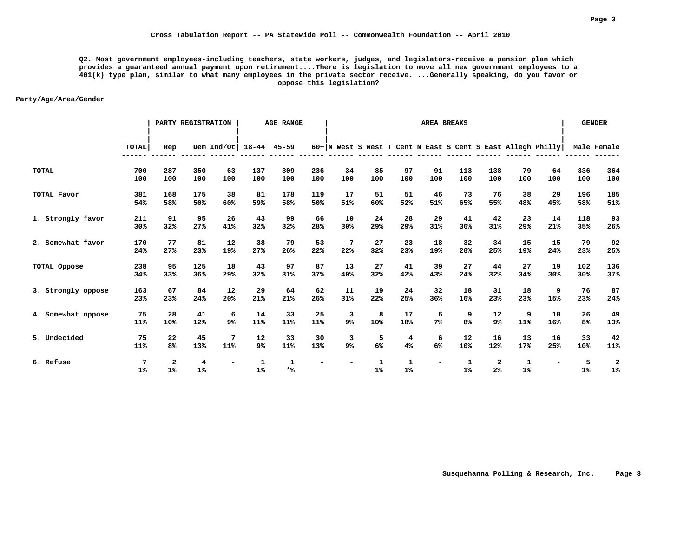**Q2. Most government employees-including teachers, state workers, judges, and legislators-receive a pension plan which provides a guaranteed annual payment upon retirement....There is legislation to move all new government employees to a 401(k) type plan, similar to what many employees in the private sector receive. ...Generally speaking, do you favor or oppose this legislation?** 

|                    |            |                      | PARTY REGISTRATION |              |            | <b>AGE RANGE</b>    |            |           |           |                                                               |                          | <b>AREA BREAKS</b>  |                     |           |           |            | <b>GENDER</b> |
|--------------------|------------|----------------------|--------------------|--------------|------------|---------------------|------------|-----------|-----------|---------------------------------------------------------------|--------------------------|---------------------|---------------------|-----------|-----------|------------|---------------|
|                    | TOTAL      | Rep                  |                    | Dem $Ind/Ot$ |            | $18 - 44$ $45 - 59$ |            |           |           | $60+ N$ West S West T Cent N East S Cent S East Allegh Philly |                          |                     |                     |           |           |            | Male Female   |
| <b>TOTAL</b>       | 700<br>100 | 287<br>100           | 350<br>100         | 63<br>100    | 137<br>100 | 309<br>100          | 236<br>100 | 34<br>100 | 85<br>100 | 97<br>100                                                     | 91<br>100                | 113<br>100          | 138<br>100          | 79<br>100 | 64<br>100 | 336<br>100 | 364<br>100    |
| TOTAL Favor        | 381<br>54% | 168<br>58%           | 175<br>50%         | 38<br>60%    | 81<br>59%  | 178<br>58%          | 119<br>50% | 17<br>51% | 51<br>60% | 51<br>52%                                                     | 46<br>51%                | 73<br>65%           | 76<br>55%           | 38<br>48% | 29<br>45% | 196<br>58% | 185<br>51%    |
| 1. Strongly favor  | 211<br>30% | 91<br>32%            | 95<br>27%          | 26<br>41%    | 43<br>32%  | 99<br>32%           | 66<br>28%  | 10<br>30% | 24<br>29% | 28<br>29%                                                     | 29<br>31%                | 41<br>36%           | 42<br>31%           | 23<br>29% | 14<br>21% | 118<br>35% | 93<br>26%     |
| 2. Somewhat favor  | 170<br>24% | 77<br>27%            | 81<br>23%          | 12<br>19%    | 38<br>27%  | 79<br>26%           | 53<br>22%  | 7<br>22%  | 27<br>32% | 23<br>23%                                                     | 18<br>19%                | 32<br>28%           | 34<br>25%           | 15<br>19% | 15<br>24% | 79<br>23%  | 92<br>25%     |
| TOTAL Oppose       | 238<br>34% | 95<br>33%            | 125<br>36%         | 18<br>29%    | 43<br>32%  | 97<br>31%           | 87<br>37%  | 13<br>40% | 27<br>32% | 41<br>42%                                                     | 39<br>43%                | 27<br>24%           | 44<br>32%           | 27<br>34% | 19<br>30% | 102<br>30% | 136<br>37%    |
| 3. Strongly oppose | 163<br>23% | 67<br>23%            | 84<br>24%          | 12<br>20%    | 29<br>21%  | 64<br>21%           | 62<br>26%  | 11<br>31% | 19<br>22% | 24<br>25%                                                     | 32<br>36%                | 18<br>16%           | 31<br>23%           | 18<br>23% | 9<br>15%  | 76<br>23%  | 87<br>24%     |
| 4. Somewhat oppose | 75<br>11%  | 28<br>10%            | 41<br>12%          | 6<br>9%      | 14<br>11%  | 33<br>11%           | 25<br>11%  | 3<br>9%   | 8<br>10%  | 17<br>18%                                                     | 6<br>7 <sup>°</sup>      | 9<br>8 <sup>°</sup> | 12<br>9%            | 9<br>11%  | 10<br>16% | 26<br>8%   | 49<br>13%     |
| 5. Undecided       | 75<br>11%  | 22<br>8 <sup>°</sup> | 45<br>13%          | 7<br>11%     | 12<br>9%   | 33<br>11%           | 30<br>13%  | 3<br>9%   | 5<br>6%   | 4<br>4%                                                       | 6<br>6%                  | 12<br>10%           | 16<br>12%           | 13<br>17% | 16<br>25% | 33<br>10%  | 42<br>11%     |
| 6. Refuse          | 7<br>1%    | $\mathbf{2}$<br>1%   | 4<br>1%            |              | 1<br>1%    | 1<br>$*$ %          |            |           | 1<br>1%   | 1<br>$1\%$                                                    | $\overline{\phantom{0}}$ | 1<br>1%             | 2<br>2 <sup>°</sup> | 1<br>1%   |           | 5<br>$1\%$ | 2<br>$1\%$    |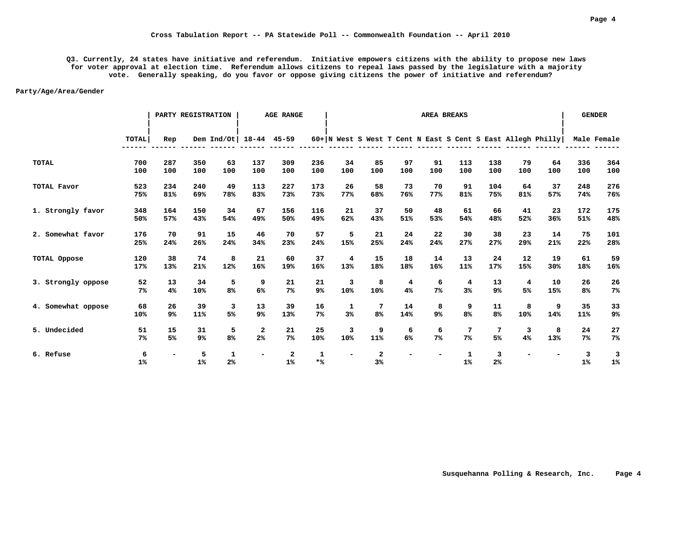**Q3. Currently, 24 states have initiative and referendum. Initiative empowers citizens with the ability to propose new laws for voter approval at election time. Referendum allows citizens to repeal laws passed by the legislature with a majority vote. Generally speaking, do you favor or oppose giving citizens the power of initiative and referendum?**

|                    |              |                          | PARTY REGISTRATION |                     |                          | <b>AGE RANGE</b>   |                |     |                               |                                                             |                | AREA BREAKS    |                |     |                          |                | <b>GENDER</b> |
|--------------------|--------------|--------------------------|--------------------|---------------------|--------------------------|--------------------|----------------|-----|-------------------------------|-------------------------------------------------------------|----------------|----------------|----------------|-----|--------------------------|----------------|---------------|
|                    | <b>TOTAL</b> | Rep                      |                    | Dem $Ind/Ot$        | $18 - 44$                | $45 - 59$          |                |     |                               | 60+ N West S West T Cent N East S Cent S East Allegh Philly |                |                |                |     |                          |                | Male Female   |
| <b>TOTAL</b>       | 700          | 287                      | 350                | 63                  | 137                      | 309                | 236            | 34  | 85                            | 97                                                          | 91             | 113            | 138            | 79  | 64                       | 336            | 364           |
|                    | 100          | 100                      | 100                | 100                 | 100                      | 100                | 100            | 100 | 100                           | 100                                                         | 100            | 100            | 100            | 100 | 100                      | 100            | 100           |
| TOTAL Favor        | 523          | 234                      | 240                | 49                  | 113                      | 227                | 173            | 26  | 58                            | 73                                                          | 70             | 91             | 104            | 64  | 37                       | 248            | 276           |
|                    | 75%          | 81%                      | 69%                | 78%                 | 83%                      | 73%                | 73%            | 77% | 68%                           | 76%                                                         | 77%            | 81%            | 75%            | 81% | 57%                      | 74%            | 76%           |
| 1. Strongly favor  | 348          | 164                      | 150                | 34                  | 67                       | 156                | 116            | 21  | 37                            | 50                                                          | 48             | 61             | 66             | 41  | 23                       | 172            | 175           |
|                    | 50%          | 57%                      | 43%                | 54%                 | 49%                      | 50%                | 49%            | 62% | 43%                           | 51%                                                         | 53%            | 54%            | 48%            | 52% | 36%                      | 51%            | 48%           |
| 2. Somewhat favor  | 176          | 70                       | 91                 | 15                  | 46                       | 70                 | 57             | 5   | 21                            | 24                                                          | 22             | 30             | 38             | 23  | 14                       | 75             | 101           |
|                    | 25%          | 24%                      | 26%                | 24%                 | 34%                      | 23%                | 24%            | 15% | 25%                           | 24%                                                         | 24%            | 27%            | 27%            | 29% | 21%                      | 22%            | 28%           |
| TOTAL Oppose       | 120          | 38                       | 74                 | 8                   | 21                       | 60                 | 37             | 4   | 15                            | 18                                                          | 14             | 13             | 24             | 12  | 19                       | 61             | 59            |
|                    | 17%          | 13%                      | 21%                | 12%                 | 16%                      | 19%                | 16%            | 13% | 18%                           | 18%                                                         | 16%            | 11%            | 17%            | 15% | 30%                      | 18%            | 16%           |
| 3. Strongly oppose | 52           | 13                       | 34                 | 5                   | 9                        | 21                 | 21             | 3   | 8                             | 4                                                           | 6              | 4              | 13             | 4   | 10                       | 26             | 26            |
|                    | 7%           | 4%                       | 10%                | 8 <sup>°</sup>      | 6%                       | 7 <sup>°</sup>     | 9 <sup>°</sup> | 10% | 10%                           | 4%                                                          | 7 <sup>°</sup> | 3 <sup>8</sup> | 9 <sup>°</sup> | 5%  | 15%                      | 8%             | $7\%$         |
| 4. Somewhat oppose | 68           | 26                       | 39                 | 3                   | 13                       | 39                 | 16             | 1   | 7                             | 14                                                          | 8              | 9              | 11             | 8   | 9                        | 35             | 33            |
|                    | 10%          | 9%                       | 11%                | 5%                  | 9 <sup>°</sup>           | 13%                | 7 <sup>°</sup> | 3%  | 8 <sup>°</sup>                | 14%                                                         | 9 <sup>°</sup> | 8 <sup>°</sup> | 8 <sup>°</sup> | 10% | 14%                      | 11%            | 9%            |
| 5. Undecided       | 51           | 15                       | 31                 | 5                   | $\mathbf{2}$             | 21                 | 25             | 3   | 9                             | 6                                                           | 6              | 7              | 7              | 3   | 8                        | 24             | 27            |
|                    | 7%           | 5%                       | 9 <sup>°</sup>     | 8 <sup>°</sup>      | 2 <sup>°</sup>           | 7%                 | 10%            | 10% | 11%                           | 6%                                                          | 7 <sup>°</sup> | 7 <sup>°</sup> | 5%             | 4%  | 13%                      | 7 <sup>°</sup> | $7\%$         |
| 6. Refuse          | 6<br>1%      | $\overline{\phantom{0}}$ | 5<br>1%            | 1<br>2 <sup>°</sup> | $\overline{\phantom{a}}$ | $\mathbf{2}$<br>1% | 1<br>$*$ %     |     | $\overline{\mathbf{2}}$<br>3% |                                                             |                | 1<br>1%        | 3<br>2%        |     | $\overline{\phantom{0}}$ | 3<br>1%        | 3<br>1%       |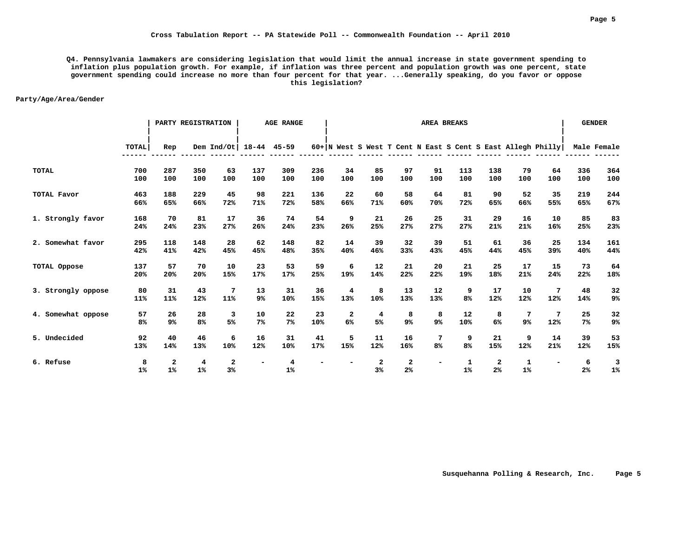**Q4. Pennsylvania lawmakers are considering legislation that would limit the annual increase in state government spending to inflation plus population growth. For example, if inflation was three percent and population growth was one percent, state government spending could increase no more than four percent for that year. ...Generally speaking, do you favor or oppose this legislation?** 

|                    |                      |                    | PARTY REGISTRATION   |                      |                          | <b>AGE RANGE</b>     |            |           |                    |                                                               |                | <b>AREA BREAKS</b>  |                                  |            |           |             | <b>GENDER</b>       |
|--------------------|----------------------|--------------------|----------------------|----------------------|--------------------------|----------------------|------------|-----------|--------------------|---------------------------------------------------------------|----------------|---------------------|----------------------------------|------------|-----------|-------------|---------------------|
|                    | TOTAL                | Rep                |                      | Dem $Ind/Ot$         | $18 - 44$                | $45 - 59$            |            |           |                    | $60+ N$ West S West T Cent N East S Cent S East Allegh Philly |                |                     |                                  |            |           |             | Male Female         |
| <b>TOTAL</b>       | 700<br>100           | 287<br>100         | 350<br>100           | 63<br>100            | 137<br>100               | 309<br>100           | 236<br>100 | 34<br>100 | 85<br>100          | 97<br>100                                                     | 91<br>100      | 113<br>100          | 138<br>100                       | 79<br>100  | 64<br>100 | 336<br>100  | 364<br>100          |
| TOTAL Favor        | 463<br>66%           | 188<br>65%         | 229<br>66%           | 45<br>72%            | 98<br>71%                | 221<br>72%           | 136<br>58% | 22<br>66% | 60<br>71%          | 58<br>60%                                                     | 64<br>70%      | 81<br>72%           | 90<br>65%                        | 52<br>66%  | 35<br>55% | 219<br>65%  | 244<br>67%          |
| 1. Strongly favor  | 168<br>24%           | 70<br>24%          | 81<br>23%            | 17<br>27%            | 36<br>26%                | 74<br>24%            | 54<br>23%  | 9<br>26%  | 21<br>25%          | 26<br>27%                                                     | 25<br>27%      | 31<br>27%           | 29<br>21%                        | 16<br>21%  | 10<br>16% | 85<br>25%   | 83<br>23%           |
| 2. Somewhat favor  | 295<br>42%           | 118<br>41%         | 148<br>42%           | 28<br>45%            | 62<br>45%                | 148<br>48%           | 82<br>35%  | 14<br>40% | 39<br>46%          | 32<br>33%                                                     | 39<br>43%      | 51<br>45%           | 61<br>44%                        | 36<br>45%  | 25<br>39% | 134<br>40%  | 161<br>44%          |
| TOTAL Oppose       | 137<br>20%           | 57<br>20%          | 70<br>20%            | 10<br>15%            | 23<br>17%                | 53<br>17%            | 59<br>25%  | 6<br>19%  | 12<br>14%          | 21<br>22%                                                     | 20<br>22%      | 21<br>19%           | 25<br>18%                        | 17<br>21%  | 15<br>24% | 73<br>22%   | 64<br>18%           |
| 3. Strongly oppose | 80<br>11%            | 31<br>11%          | 43<br>12%            | 7<br>11%             | 13<br>9%                 | 31<br>10%            | 36<br>15%  | 4<br>13%  | 8<br>10%           | 13<br>13%                                                     | 12<br>13%      | 9<br>8 <sup>°</sup> | 17<br>12%                        | 10<br>12%  | 7<br>12%  | 48<br>14%   | 32<br>9%            |
| 4. Somewhat oppose | 57<br>8 <sup>°</sup> | 26<br>9%           | 28<br>8 <sup>°</sup> | 3<br>5%              | 10<br>$7\%$              | 22<br>7 <sup>°</sup> | 23<br>10%  | 2<br>6%   | 4<br>5%            | 8<br>9%                                                       | 8<br>9%        | 12<br>10%           | 8<br>6%                          | 7<br>9%    | 7<br>12%  | 25<br>$7\%$ | 32<br>9%            |
| 5. Undecided       | 92<br>13%            | 40<br>14%          | 46<br>13%            | 6<br>10%             | 16<br>12%                | 31<br>10%            | 41<br>17%  | 5<br>15%  | 11<br>12%          | 16<br>16%                                                     | 7<br>8%        | 9<br>8 <sup>°</sup> | 21<br>15%                        | 9<br>12%   | 14<br>21% | 39<br>12%   | 53<br>15%           |
| 6. Refuse          | 8<br>1%              | $\mathbf{2}$<br>1% | 4<br>1%              | $\overline{a}$<br>3% | $\overline{\phantom{a}}$ | 4<br>$1\%$           |            |           | $\mathbf{2}$<br>3% | $\overline{a}$<br>2%                                          | $\blacksquare$ | 1<br>1%             | $\overline{2}$<br>2 <sup>°</sup> | 1<br>$1\%$ |           | 6<br>$2\%$  | 3<br>1 <sup>°</sup> |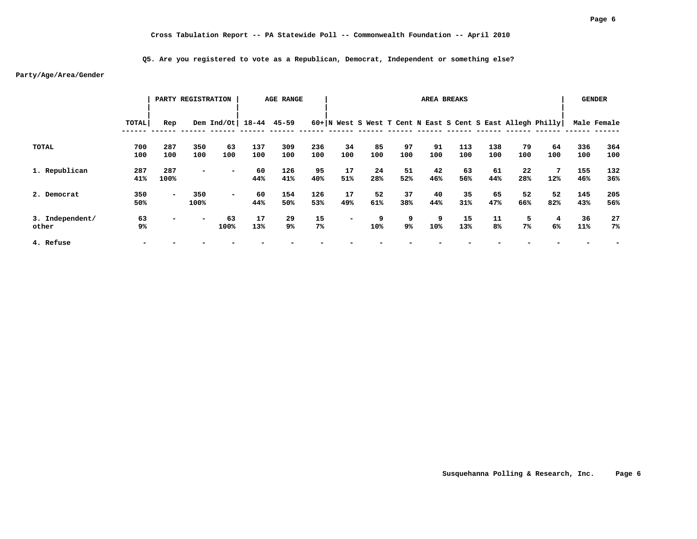**Q5. Are you registered to vote as a Republican, Democrat, Independent or something else?**

|                 |       |                          | PARTY REGISTRATION       |                        |     | <b>AGE RANGE</b> |                |                          |     |     |     | AREA BREAKS |                |     |                                                               |     | <b>GENDER</b> |
|-----------------|-------|--------------------------|--------------------------|------------------------|-----|------------------|----------------|--------------------------|-----|-----|-----|-------------|----------------|-----|---------------------------------------------------------------|-----|---------------|
|                 | TOTAL | Rep                      |                          | Dem Ind/Ot 18-44 45-59 |     |                  |                |                          |     |     |     |             |                |     | $60+ N$ West S West T Cent N East S Cent S East Allegh Philly |     | Male Female   |
| TOTAL           | 700   | 287                      | 350                      | 63                     | 137 | 309              | 236            | 34                       | 85  | 97  | 91  | 113         | 138            | 79  | 64                                                            | 336 | 364           |
|                 | 100   | 100                      | 100                      | 100                    | 100 | 100              | 100            | 100                      | 100 | 100 | 100 | 100         | 100            | 100 | 100                                                           | 100 | 100           |
| 1. Republican   | 287   | 287                      | $\overline{\phantom{a}}$ |                        | 60  | 126              | 95             | 17                       | 24  | 51  | 42  | 63          | 61             | 22  | 7                                                             | 155 | 132           |
|                 | 41%   | 100%                     |                          |                        | 44% | 41%              | 40%            | 51%                      | 28% | 52% | 46% | 56%         | 44%            | 28% | 12%                                                           | 46% | 36%           |
| 2. Democrat     | 350   | $\overline{\phantom{a}}$ | 350                      | $\sim$                 | 60  | 154              | 126            | 17                       | 52  | 37  | 40  | 35          | 65             | 52  | 52                                                            | 145 | 205           |
|                 | 50%   |                          | 100%                     |                        | 44% | 50%              | 53%            | 49%                      | 61% | 38% | 44% | 31%         | 47%            | 66% | 82%                                                           | 43% | 56%           |
| 3. Independent/ | 63    | -                        | $\overline{\phantom{a}}$ | 63                     | 17  | 29               | 15             | $\overline{\phantom{0}}$ | 9   | 9   | 9   | 15          | 11             | 5   | 4                                                             | 36  | 27            |
| other           | 9%    |                          |                          | 100%                   | 13% | 9%               | 7 <sup>°</sup> |                          | 10% | 9%  | 10% | 13%         | 8 <sup>°</sup> | 7%  | 6%                                                            | 11% | $7\%$         |
| 4. Refuse       |       |                          |                          |                        |     |                  |                |                          |     |     |     |             |                |     |                                                               |     |               |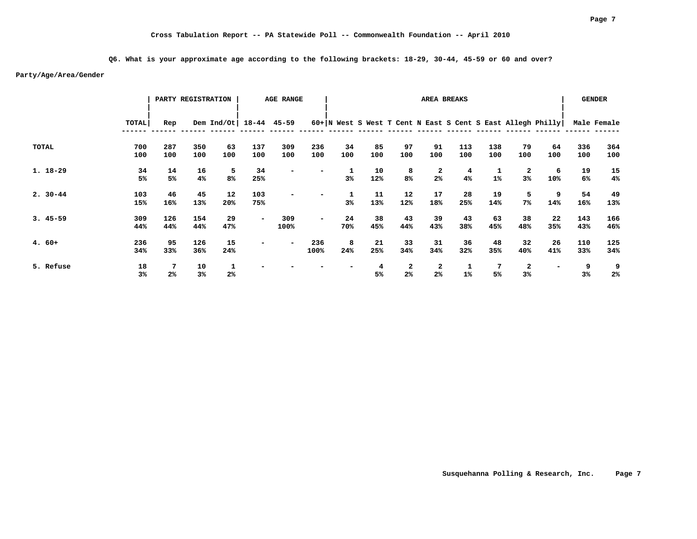**Q6. What is your approximate age according to the following brackets: 18-29, 30-44, 45-59 or 60 and over?**

|             |                      |                     | PARTY REGISTRATION |                          |            | <b>AGE RANGE</b> |             |           |                     |                     | AREA BREAKS         |            |            |            |                                                               |                     | <b>GENDER</b>       |
|-------------|----------------------|---------------------|--------------------|--------------------------|------------|------------------|-------------|-----------|---------------------|---------------------|---------------------|------------|------------|------------|---------------------------------------------------------------|---------------------|---------------------|
|             | <b>TOTAL</b>         | Rep                 |                    | Dem Ind/Ot   18-44 45-59 |            |                  |             |           |                     |                     |                     |            |            |            | $60+ N$ West S West T Cent N East S Cent S East Allegh Philly |                     | Male Female         |
| TOTAL       | 700<br>100           | 287<br>100          | 350<br>100         | 63<br>100                | 137<br>100 | 309<br>100       | 236<br>100  | 34<br>100 | 85<br>100           | 97<br>100           | 91<br>100           | 113<br>100 | 138<br>100 | 79<br>100  | 64<br>100                                                     | 336<br>100          | 364<br>100          |
| $1.18 - 29$ | 34<br>5%             | 14<br>5%            | 16<br>4%           | 5<br>8%                  | 34<br>25%  |                  |             | 3%        | 10<br>12%           | 8<br>8 <sup>°</sup> | 2<br>2 <sup>°</sup> | 4<br>4%    | 1%         | 2<br>3%    | 6<br>10%                                                      | 19<br>6%            | 15<br>4%            |
| $2.30 - 44$ | 103<br>15%           | 46<br>16%           | 45<br>13%          | 12<br>20%                | 103<br>75% |                  |             | 1<br>3%   | 11<br>13%           | 12<br>12%           | 17<br>18%           | 28<br>25%  | 19<br>14%  | 5<br>$7\%$ | 9<br>14%                                                      | 54<br>16%           | 49<br>13%           |
| $3.45 - 59$ | 309<br>44%           | 126<br>44%          | 154<br>44%         | 29<br>47%                | $\sim$     | 309<br>100%      | -           | 24<br>70% | 38<br>45%           | 43<br>44%           | 39<br>43%           | 43<br>38%  | 63<br>45%  | 38<br>48%  | 22<br>35%                                                     | 143<br>43%          | 166<br>46%          |
| $4.60+$     | 236<br>34%           | 95<br>33%           | 126<br>36%         | 15<br>24%                | -          |                  | 236<br>100% | 8<br>24%  | 21<br>25%           | 33<br>34%           | 31<br>34%           | 36<br>32%  | 48<br>35%  | 32<br>40%  | 26<br>41%                                                     | 110<br>33%          | 125<br>34%          |
| 5. Refuse   | 18<br>3 <sup>°</sup> | 7<br>2 <sup>°</sup> | 10<br>3%           | 1<br>2 <sup>°</sup>      |            |                  |             |           | 4<br>5 <sup>°</sup> | 2<br>2 <sup>°</sup> | 2<br>2 <sup>°</sup> | 1<br>1%    | -7<br>5%   | 2<br>3%    |                                                               | 9<br>3 <sup>°</sup> | 9<br>2 <sup>°</sup> |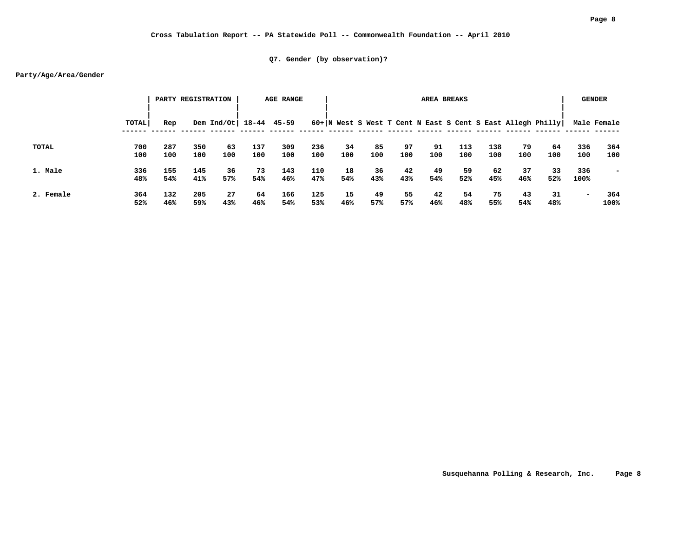# **Cross Tabulation Report -- PA Statewide Poll -- Commonwealth Foundation -- April 2010**

# **Q7. Gender (by observation)?**

|           |            |            | PARTY REGISTRATION |                          |            | <b>AGE RANGE</b> |            |           |           |           |           | AREA BREAKS |            |           |                                                             |                          | <b>GENDER</b>            |
|-----------|------------|------------|--------------------|--------------------------|------------|------------------|------------|-----------|-----------|-----------|-----------|-------------|------------|-----------|-------------------------------------------------------------|--------------------------|--------------------------|
|           | TOTAL      | Rep        |                    | Dem Ind/Ot   18-44 45-59 |            |                  |            |           |           |           |           |             |            |           | 60+ N West S West T Cent N East S Cent S East Allegh Philly |                          | Male Female              |
| TOTAL     | 700<br>100 | 287<br>100 | 350<br>100         | 63<br>100                | 137<br>100 | 309<br>100       | 236<br>100 | 34<br>100 | 85<br>100 | 97<br>100 | 91<br>100 | 113<br>100  | 138<br>100 | 79<br>100 | 64<br>100                                                   | 336<br>100               | 364<br>100               |
| 1. Male   | 336<br>48% | 155<br>54% | 145<br>41%         | 36<br>57%                | 73<br>54%  | 143<br>46%       | 110<br>47% | 18<br>54% | 36<br>43% | 42<br>43% | 49<br>54% | 59<br>52%   | 62<br>45%  | 37<br>46% | 33<br>52%                                                   | 336<br>100%              | $\overline{\phantom{0}}$ |
| 2. Female | 364<br>52% | 132<br>46% | 205<br>59%         | 27<br>43%                | 64<br>46%  | 166<br>54%       | 125<br>53% | 15<br>46% | 49<br>57% | 55<br>57% | 42<br>46% | 54<br>48%   | 75<br>55%  | 43<br>54% | 31<br>48%                                                   | $\overline{\phantom{a}}$ | 364<br>100%              |